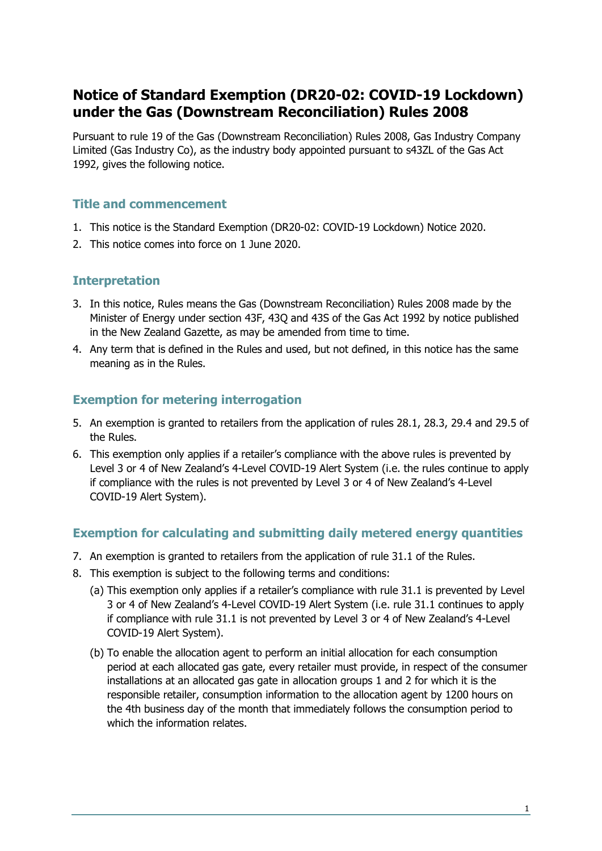# **Notice of Standard Exemption (DR20-02: COVID-19 Lockdown) under the Gas (Downstream Reconciliation) Rules 2008**

Pursuant to rule 19 of the Gas (Downstream Reconciliation) Rules 2008, Gas Industry Company Limited (Gas Industry Co), as the industry body appointed pursuant to s43ZL of the Gas Act 1992, gives the following notice.

## **Title and commencement**

- 1. This notice is the Standard Exemption (DR20-02: COVID-19 Lockdown) Notice 2020.
- 2. This notice comes into force on 1 June 2020.

### **Interpretation**

- 3. In this notice, Rules means the Gas (Downstream Reconciliation) Rules 2008 made by the Minister of Energy under section 43F, 43Q and 43S of the Gas Act 1992 by notice published in the New Zealand Gazette, as may be amended from time to time.
- 4. Any term that is defined in the Rules and used, but not defined, in this notice has the same meaning as in the Rules.

# **Exemption for metering interrogation**

- 5. An exemption is granted to retailers from the application of rules 28.1, 28.3, 29.4 and 29.5 of the Rules.
- 6. This exemption only applies if a retailer's compliance with the above rules is prevented by Level 3 or 4 of New Zealand's 4-Level COVID-19 Alert System (i.e. the rules continue to apply if compliance with the rules is not prevented by Level 3 or 4 of New Zealand's 4-Level COVID-19 Alert System).

## **Exemption for calculating and submitting daily metered energy quantities**

- 7. An exemption is granted to retailers from the application of rule 31.1 of the Rules.
- 8. This exemption is subject to the following terms and conditions:
	- (a) This exemption only applies if a retailer's compliance with rule 31.1 is prevented by Level 3 or 4 of New Zealand's 4-Level COVID-19 Alert System (i.e. rule 31.1 continues to apply if compliance with rule 31.1 is not prevented by Level 3 or 4 of New Zealand's 4-Level COVID-19 Alert System).
	- (b) To enable the allocation agent to perform an initial allocation for each consumption period at each allocated gas gate, every retailer must provide, in respect of the consumer installations at an allocated gas gate in allocation groups 1 and 2 for which it is the responsible retailer, consumption information to the allocation agent by 1200 hours on the 4th business day of the month that immediately follows the consumption period to which the information relates.